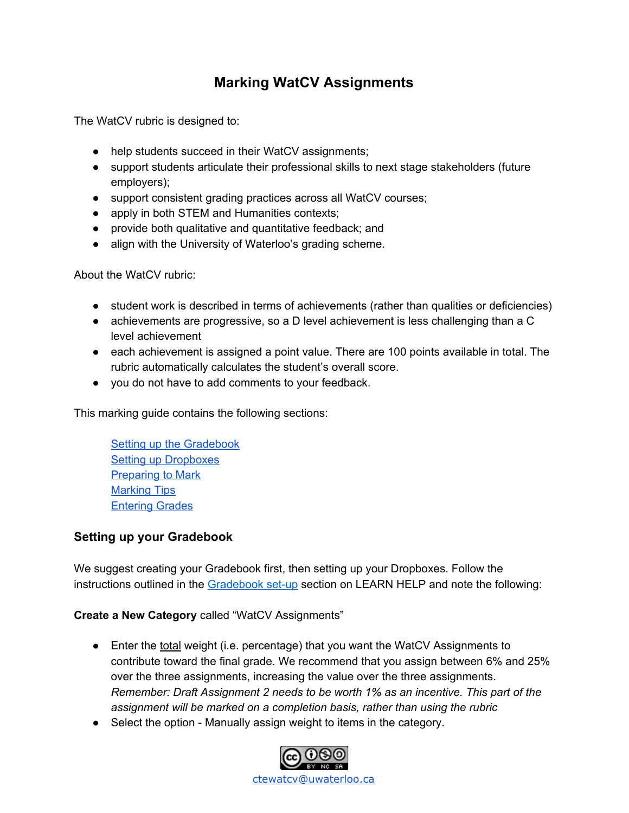# **Marking WatCV Assignments**

The WatCV rubric is designed to:

- help students succeed in their WatCV assignments;
- support students articulate their professional skills to next stage stakeholders (future employers);
- support consistent grading practices across all WatCV courses;
- apply in both STEM and Humanities contexts;
- provide both qualitative and quantitative feedback; and
- align with the University of Waterloo's grading scheme.

About the WatCV rubric:

- student work is described in terms of achievements (rather than qualities or deficiencies)
- achievements are progressive, so a D level achievement is less challenging than a C level achievement
- each achievement is assigned a point value. There are 100 points available in total. The rubric automatically calculates the student's overall score.
- you do not have to add comments to your feedback.

This marking guide contains the following sections:

Setting up the [Gradebook](#page-0-0) Setting up [Dropboxes](#page-1-0) [Preparing](#page-1-1) to Mark [Marking](#page-4-0) Tips [Entering](#page-5-0) Grades

# <span id="page-0-0"></span>**Setting up your Gradebook**

We suggest creating your Gradebook first, then setting up your Dropboxes. Follow the instructions outlined in the [Gradebook](https://uwaterloo.ca/learn-help/grades#%E2%96%A0Gradebook%20set-up) set-up section on LEARN HELP and note the following:

### **Create a New Category** called "WatCV Assignments"

- Enter the total weight (i.e. percentage) that you want the WatCV Assignments to contribute toward the final grade. We recommend that you assign between 6% and 25% over the three assignments, increasing the value over the three assignments. *Remember: Draft Assignment 2 needs to be worth 1% as an incentive. This part of the assignment will be marked on a completion basis, rather than using the rubric*
- Select the option Manually assign weight to items in the category.

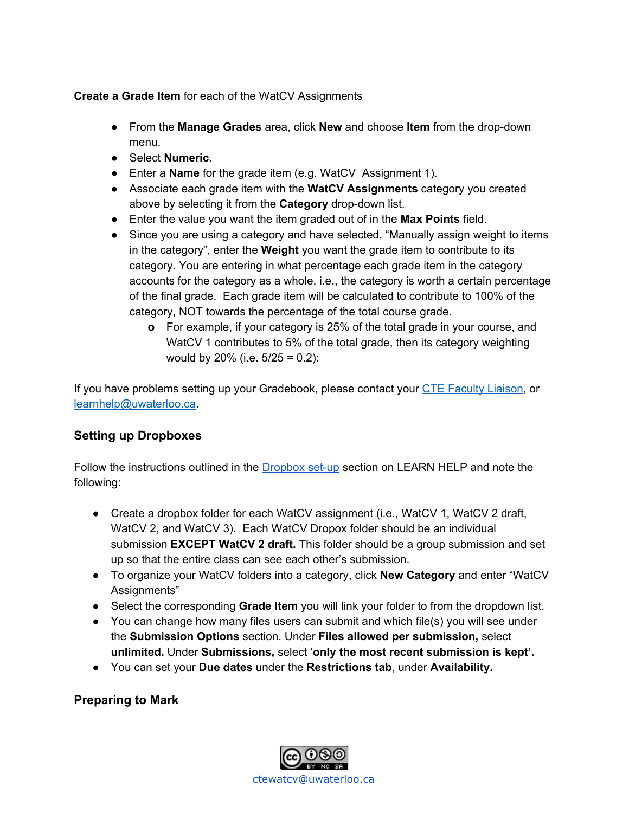## **Create a Grade Item** for each of the WatCV Assignments

- From the **Manage Grades** area, click **New** and choose **Item** from the drop-down menu.
- Select **Numeric**.
- Enter a **Name** for the grade item (e.g. WatCV Assignment 1).
- Associate each grade item with the **WatCV Assignments** category you created above by selecting it from the **Category** drop-down list.
- Enter the value you want the item graded out of in the **Max Points** field.
- **●** Since you are using a category and have selected, "Manually assign weight to items in the category", enter the **Weight** you want the grade item to contribute to its category. You are entering in what percentage each grade item in the category accounts for the category as a whole, i.e., the category is worth a certain percentage of the final grade. Each grade item will be calculated to contribute to 100% of the category, NOT towards the percentage of the total course grade.
	- **o** For example, if your category is 25% of the total grade in your course, and WatCV 1 contributes to 5% of the total grade, then its category weighting would by 20% (i.e.  $5/25 = 0.2$ ):

If you have problems setting up your Gradebook, please contact your CTE [Faculty](https://uwaterloo.ca/centre-for-teaching-excellence/people-profiles/category/76) Liaison, or [learnhelp@uwaterloo.ca](mailto:learnhelp@uwaterloo.ca).

# <span id="page-1-0"></span>**Setting up Dropboxes**

Follow the instructions outlined in the **[Dropbox](https://uwaterloo.ca/learn-help/instructors/dropboxes) set-up** section on LEARN HELP and note the following:

- Create a dropbox folder for each WatCV assignment (i.e., WatCV 1, WatCV 2 draft, WatCV 2, and WatCV 3). Each WatCV Dropox folder should be an individual submission **EXCEPT WatCV 2 draft.** This folder should be a group submission and set up so that the entire class can see each other's submission.
- To organize your WatCV folders into a category, click **New Category** and enter "WatCV Assignments"
- Select the corresponding **Grade Item** you will link your folder to from the dropdown list.
- You can change how many files users can submit and which file(s) you will see under the **Submission Options** section. Under **Files allowed per submission,** select **unlimited.** Under **Submissions,** select '**only the most recent submission is kept'.**
- **●** You can set your **Due dates** under the **Restrictions tab**, under **Availability.**

# <span id="page-1-1"></span>**Preparing to Mark**

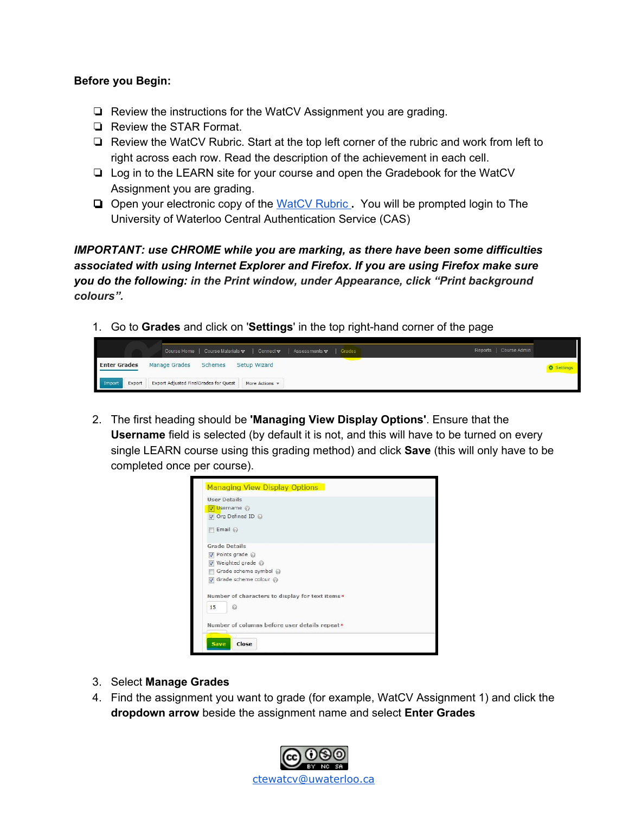#### **Before you Begin:**

- ❏ Review the instructions for the WatCV Assignment you are grading.
- ❏ Review the STAR Format.
- ❏ Review the WatCV Rubric. Start at the top left corner of the rubric and work from left to right across each row. Read the description of the achievement in each cell.
- ❏ Log in to the LEARN site for your course and open the Gradebook for the WatCV Assignment you are grading.
- ❏ Open your electronic copy of the [WatCV](https://watcv.uwaterloo.ca/rubricdemo/) Rubric **.** You will be prompted login to The University of Waterloo Central Authentication Service (CAS)

*IMPORTANT: use CHROME while you are marking, as there have been some difficulties associated with using Internet Explorer and Firefox. If you are using Firefox make sure you do the following: in the Print window, under Appearance, click "Print background colours".*

1. Go to **Grades** and click on '**Settings**' in the top right-hand corner of the page

|                     |        | Course Home   Course Materials v   Connect v   Assessments v   Grades |                |  | Reports   Course Admin |                   |
|---------------------|--------|-----------------------------------------------------------------------|----------------|--|------------------------|-------------------|
| <b>Enter Grades</b> |        | Schemes<br>Manage Grades                                              | Setup Wizard   |  |                        | <b>森 Settings</b> |
| Import              | Export | Export Adjusted FinalGrades for Quest                                 | More Actions * |  |                        |                   |

2. The first heading should be **'Managing View Display Options'**. Ensure that the **Username** field is selected (by default it is not, and this will have to be turned on every single LEARN course using this grading method) and click **Save** (this will only have to be completed once per course).



- 3. Select **Manage Grades**
- 4. Find the assignment you want to grade (for example, WatCV Assignment 1) and click the **dropdown arrow** beside the assignment name and select **Enter Grades**

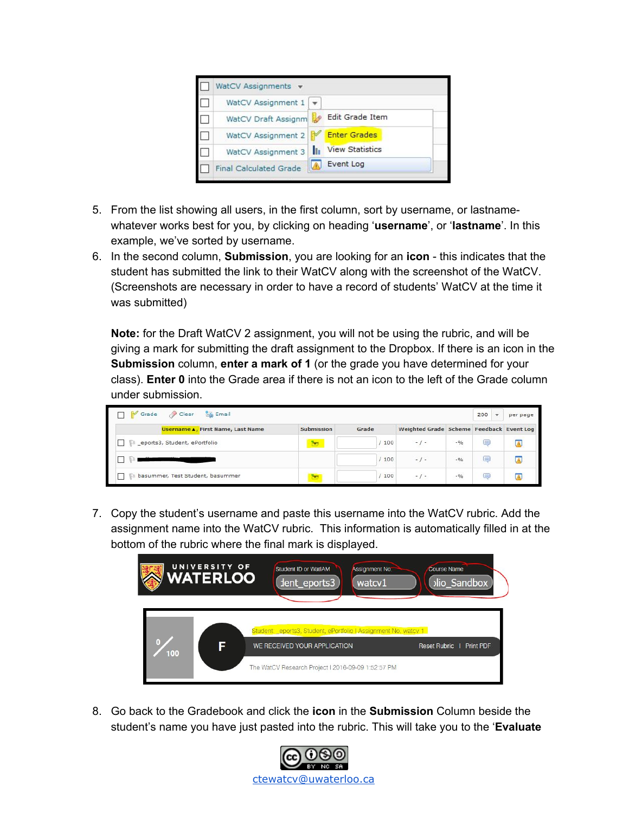

- 5. From the list showing all users, in the first column, sort by username, or lastnamewhatever works best for you, by clicking on heading '**username**', or '**lastname**'. In this example, we've sorted by username.
- 6. In the second column, **Submission**, you are looking for an **icon** this indicates that the student has submitted the link to their WatCV along with the screenshot of the WatCV. (Screenshots are necessary in order to have a record of students' WatCV at the time it was submitted)

**Note:** for the Draft WatCV 2 assignment, you will not be using the rubric, and will be giving a mark for submitting the draft assignment to the Dropbox. If there is an icon in the **Submission** column, **enter a mark of 1** (or the grade you have determined for your class). **Enter 0** into the Grade area if there is not an icon to the left of the Grade column under submission.

| <b>La</b> Email<br>Grade<br>Clear |                   |       |                                          |        | 200 | $\overline{\phantom{a}}$<br>per page |
|-----------------------------------|-------------------|-------|------------------------------------------|--------|-----|--------------------------------------|
| Username ., First Name, Last Name | <b>Submission</b> | Grade | Weighted Grade Scheme Feedback Event Log |        |     |                                      |
| eports3, Student, ePortfolio      | they              | 100   | $-1 -$                                   | $-9/6$ | 員   |                                      |
|                                   |                   | 100   | $-1-$                                    | $-9/6$ | 美   |                                      |
| basummer, Test Student, basummer  | ۳                 | 100   | $-$ / $-$                                | $-9/6$ | 黒   |                                      |

7. Copy the student's username and paste this username into the WatCV rubric. Add the assignment name into the WatCV rubric. This information is automatically filled in at the bottom of the rubric where the final mark is displayed.



8. Go back to the Gradebook and click the **icon** in the **Submission** Column beside the student's name you have just pasted into the rubric. This will take you to the '**Evaluate**

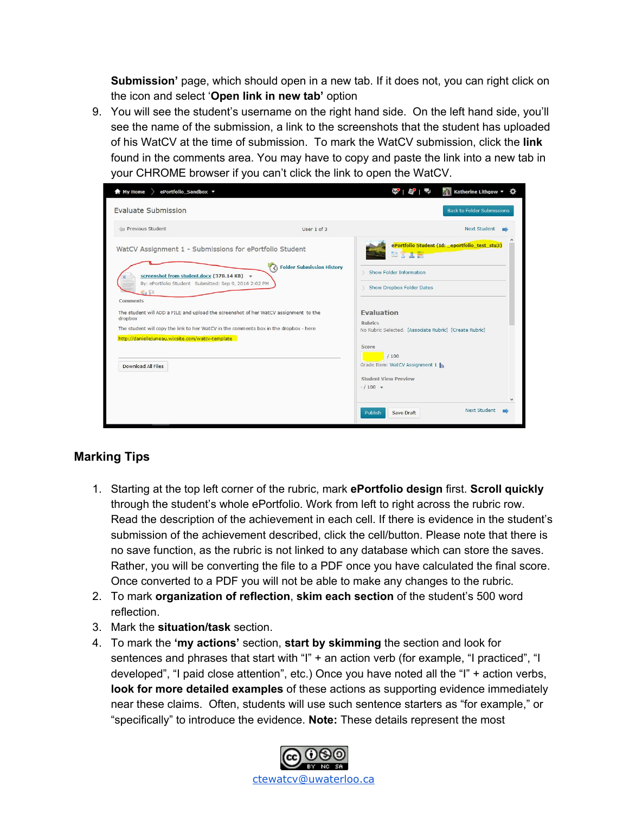**Submission'** page, which should open in a new tab. If it does not, you can right click on the icon and select '**Open link in new tab'** option

9. You will see the student's username on the right hand side. On the left hand side, you'll see the name of the submission, a link to the screenshots that the student has uploaded of his WatCV at the time of submission. To mark the WatCV submission, click the **link** found in the comments area. You may have to copy and paste the link into a new tab in your CHROME browser if you can't click the link to open the WatCV.



# <span id="page-4-0"></span>**Marking Tips**

- 1. Starting at the top left corner of the rubric, mark **ePortfolio design** first. **Scroll quickly** through the student's whole ePortfolio. Work from left to right across the rubric row. Read the description of the achievement in each cell. If there is evidence in the student's submission of the achievement described, click the cell/button. Please note that there is no save function, as the rubric is not linked to any database which can store the saves. Rather, you will be converting the file to a PDF once you have calculated the final score. Once converted to a PDF you will not be able to make any changes to the rubric.
- 2. To mark **organization of reflection**, **skim each section** of the student's 500 word reflection.
- 3. Mark the **situation/task** section.
- 4. To mark the **'my actions'** section, **start by skimming** the section and look for sentences and phrases that start with "I" + an action verb (for example, "I practiced", "I developed", "I paid close attention", etc.) Once you have noted all the "I" + action verbs, **look for more detailed examples** of these actions as supporting evidence immediately near these claims. Often, students will use such sentence starters as "for example," or "specifically" to introduce the evidence. **Note:** These details represent the most

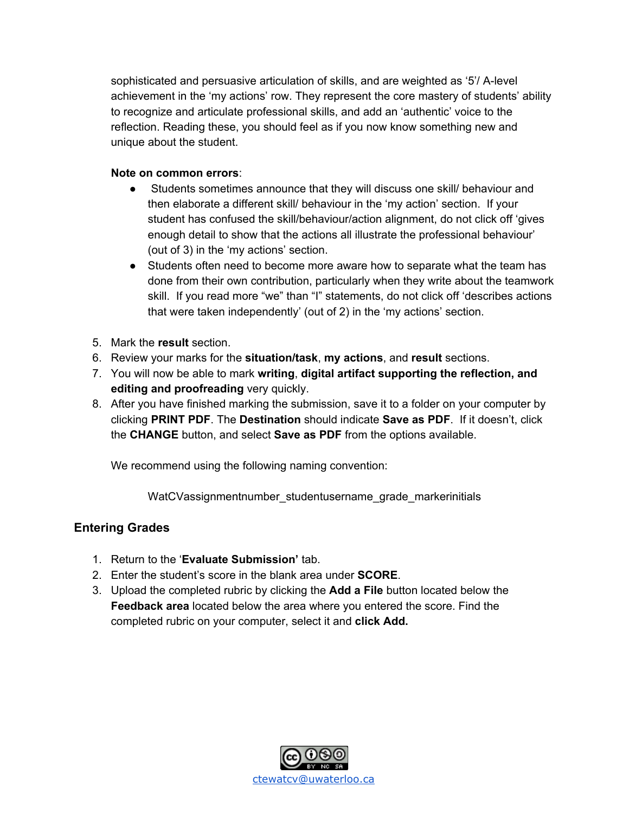sophisticated and persuasive articulation of skills, and are weighted as '5'/ A-level achievement in the 'my actions' row. They represent the core mastery of students' ability to recognize and articulate professional skills, and add an 'authentic' voice to the reflection. Reading these, you should feel as if you now know something new and unique about the student.

#### **Note on common errors**:

- Students sometimes announce that they will discuss one skill/ behaviour and then elaborate a different skill/ behaviour in the 'my action' section. If your student has confused the skill/behaviour/action alignment, do not click off 'gives enough detail to show that the actions all illustrate the professional behaviour' (out of 3) in the 'my actions' section.
- Students often need to become more aware how to separate what the team has done from their own contribution, particularly when they write about the teamwork skill. If you read more "we" than "I" statements, do not click off 'describes actions that were taken independently' (out of 2) in the 'my actions' section.
- 5. Mark the **result** section.
- 6. Review your marks for the **situation/task**, **my actions**, and **result** sections.
- 7. You will now be able to mark **writing**, **digital artifact supporting the reflection, and editing and proofreading** very quickly.
- 8. After you have finished marking the submission, save it to a folder on your computer by clicking **PRINT PDF**. The **Destination** should indicate **Save as PDF**. If it doesn't, click the **CHANGE** button, and select **Save as PDF** from the options available.

We recommend using the following naming convention:

WatCVassignmentnumber\_studentusername\_grade\_markerinitials

# <span id="page-5-0"></span>**Entering Grades**

- 1. Return to the '**Evaluate Submission'** tab.
- 2. Enter the student's score in the blank area under **SCORE**.
- 3. Upload the completed rubric by clicking the **Add a File** button located below the **Feedback area** located below the area where you entered the score. Find the completed rubric on your computer, select it and **click Add.**